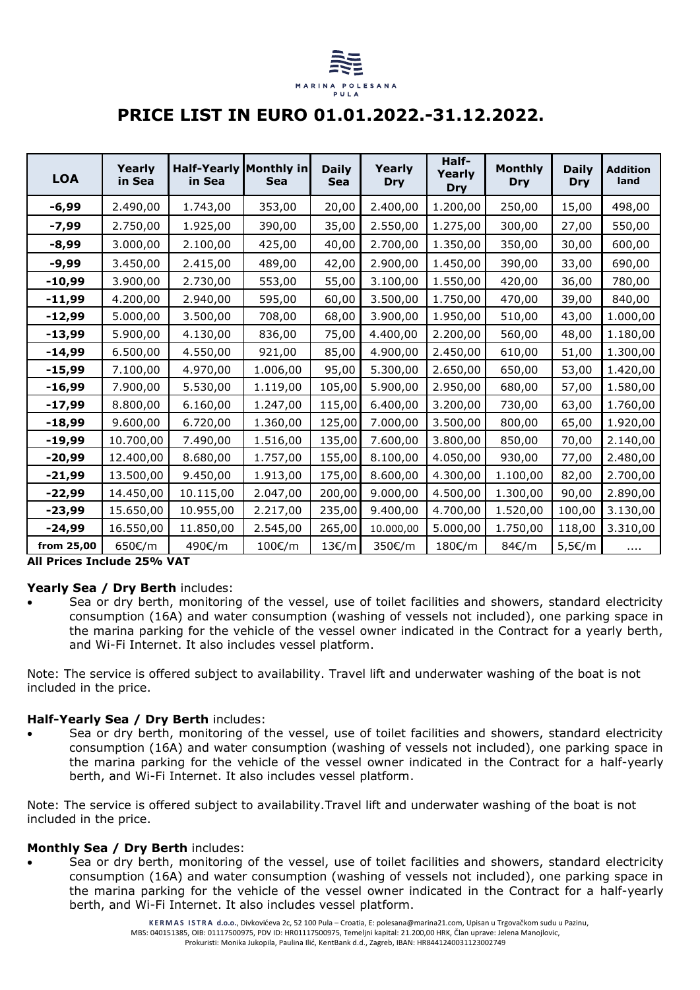

# **PRICE LIST IN EURO 01.01.2022.-31.12.2022.**

| <b>LOA</b> | Yearly<br>in Sea | <b>Half-Yearly Monthly in</b><br>in Sea | <b>Sea</b> | <b>Daily</b><br><b>Sea</b> | Yearly<br><b>Dry</b> | Half-<br>Yearly<br>Dry | <b>Monthly</b><br>Dry | <b>Daily</b><br>Dry | <b>Addition</b><br>land |
|------------|------------------|-----------------------------------------|------------|----------------------------|----------------------|------------------------|-----------------------|---------------------|-------------------------|
| -6,99      | 2.490,00         | 1.743,00                                | 353,00     | 20,00                      | 2.400,00             | 1.200,00               | 250,00                | 15,00               | 498,00                  |
| $-7,99$    | 2.750,00         | 1.925,00                                | 390,00     | 35,00                      | 2.550,00             | 1.275,00               | 300,00                | 27,00               | 550,00                  |
| $-8,99$    | 3.000,00         | 2.100,00                                | 425,00     | 40,00                      | 2.700,00             | 1.350,00               | 350,00                | 30,00               | 600,00                  |
| $-9,99$    | 3.450,00         | 2.415,00                                | 489,00     | 42,00                      | 2.900,00             | 1.450,00               | 390,00                | 33,00               | 690,00                  |
| $-10,99$   | 3.900,00         | 2.730,00                                | 553,00     | 55,00                      | 3.100,00             | 1.550,00               | 420,00                | 36,00               | 780,00                  |
| $-11,99$   | 4.200,00         | 2.940,00                                | 595,00     | 60,00                      | 3.500,00             | 1.750,00               | 470,00                | 39,00               | 840,00                  |
| $-12,99$   | 5.000,00         | 3.500,00                                | 708,00     | 68,00                      | 3.900,00             | 1.950,00               | 510,00                | 43,00               | 1.000,00                |
| $-13,99$   | 5.900,00         | 4.130,00                                | 836,00     | 75,00                      | 4.400,00             | 2.200,00               | 560,00                | 48,00               | 1.180,00                |
| $-14,99$   | 6.500,00         | 4.550,00                                | 921,00     | 85,00                      | 4.900,00             | 2.450,00               | 610,00                | 51,00               | 1.300,00                |
| $-15,99$   | 7.100,00         | 4.970,00                                | 1.006,00   | 95,00                      | 5.300,00             | 2.650,00               | 650,00                | 53,00               | 1.420,00                |
| $-16,99$   | 7.900,00         | 5.530,00                                | 1.119,00   | 105,00                     | 5.900,00             | 2.950,00               | 680,00                | 57,00               | 1.580,00                |
| $-17,99$   | 8.800,00         | 6.160,00                                | 1.247,00   | 115,00                     | 6.400,00             | 3.200,00               | 730,00                | 63,00               | 1.760,00                |
| $-18,99$   | 9.600,00         | 6.720,00                                | 1.360,00   | 125,00                     | 7.000,00             | 3.500,00               | 800,00                | 65,00               | 1.920,00                |
| $-19,99$   | 10.700,00        | 7.490,00                                | 1.516,00   | 135,00                     | 7.600,00             | 3.800,00               | 850,00                | 70,00               | 2.140,00                |
| $-20,99$   | 12.400,00        | 8.680,00                                | 1.757,00   | 155,00                     | 8.100,00             | 4.050,00               | 930,00                | 77,00               | 2.480,00                |
| $-21,99$   | 13.500,00        | 9.450,00                                | 1.913,00   | 175,00                     | 8.600,00             | 4.300,00               | 1.100,00              | 82,00               | 2.700,00                |
| $-22,99$   | 14.450,00        | 10.115,00                               | 2.047,00   | 200,00                     | 9.000,00             | 4.500,00               | 1.300,00              | 90,00               | 2.890,00                |
| $-23,99$   | 15.650,00        | 10.955,00                               | 2.217,00   | 235,00                     | 9.400,00             | 4.700,00               | 1.520,00              | 100,00              | 3.130,00                |
| $-24,99$   | 16.550,00        | 11.850,00                               | 2.545,00   | 265,00                     | 10.000,00            | 5.000,00               | 1.750,00              | 118,00              | 3.310,00                |
| from 25,00 | 650€/m           | 490€/m                                  | 100€/m     | 13f/m                      | 350€/m               | 180€/m                 | 84€/m                 | 5,5€/m              | $\cdots$                |

**All Prices Include 25% VAT**

# **Yearly Sea / Dry Berth** includes:

• Sea or dry berth, monitoring of the vessel, use of toilet facilities and showers, standard electricity consumption (16A) and water consumption (washing of vessels not included), one parking space in the marina parking for the vehicle of the vessel owner indicated in the Contract for a yearly berth, and Wi-Fi Internet. It also includes vessel platform.

Note: The service is offered subject to availability. Travel lift and underwater washing of the boat is not included in the price.

# **Half-Yearly Sea / Dry Berth** includes:

Sea or dry berth, monitoring of the vessel, use of toilet facilities and showers, standard electricity consumption (16A) and water consumption (washing of vessels not included), one parking space in the marina parking for the vehicle of the vessel owner indicated in the Contract for a half-yearly berth, and Wi-Fi Internet. It also includes vessel platform.

Note: The service is offered subject to availability.Travel lift and underwater washing of the boat is not included in the price.

# **Monthly Sea / Dry Berth includes:**

• Sea or dry berth, monitoring of the vessel, use of toilet facilities and showers, standard electricity consumption (16A) and water consumption (washing of vessels not included), one parking space in the marina parking for the vehicle of the vessel owner indicated in the Contract for a half-yearly berth, and Wi-Fi Internet. It also includes vessel platform.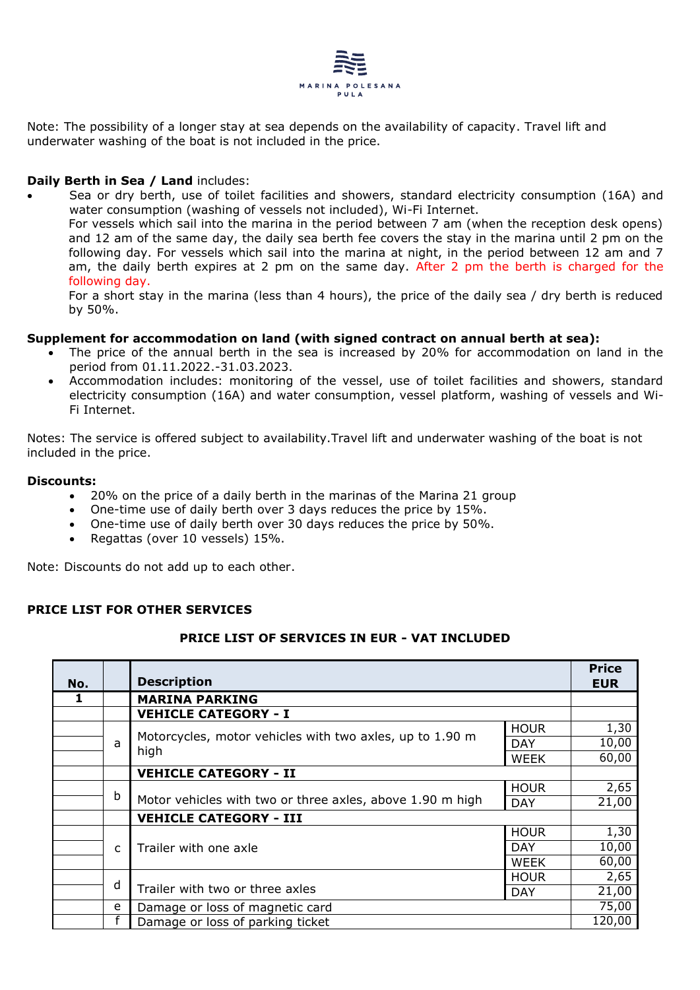

Note: The possibility of a longer stay at sea depends on the availability of capacity. Travel lift and underwater washing of the boat is not included in the price.

# **Daily Berth in Sea / Land includes:**

• Sea or dry berth, use of toilet facilities and showers, standard electricity consumption (16A) and water consumption (washing of vessels not included), Wi-Fi Internet. For vessels which sail into the marina in the period between 7 am (when the reception desk opens) and 12 am of the same day, the daily sea berth fee covers the stay in the marina until 2 pm on the following day. For vessels which sail into the marina at night, in the period between 12 am and 7 am, the daily berth expires at 2 pm on the same day. After 2 pm the berth is charged for the following day.

For a short stay in the marina (less than 4 hours), the price of the daily sea / dry berth is reduced by 50%.

#### **Supplement for accommodation on land (with signed contract on annual berth at sea):**

- The price of the annual berth in the sea is increased by 20% for accommodation on land in the period from 01.11.2022.-31.03.2023.
- Accommodation includes: monitoring of the vessel, use of toilet facilities and showers, standard electricity consumption (16A) and water consumption, vessel platform, washing of vessels and Wi-Fi Internet.

Notes: The service is offered subject to availability.Travel lift and underwater washing of the boat is not included in the price.

#### **Discounts:**

- 20% on the price of a daily berth in the marinas of the Marina 21 group
- One-time use of daily berth over 3 days reduces the price by 15%.
- One-time use of daily berth over 30 days reduces the price by 50%.
- Regattas (over 10 vessels) 15%.

Note: Discounts do not add up to each other.

# **PRICE LIST FOR OTHER SERVICES**

# **PRICE LIST OF SERVICES IN EUR - VAT INCLUDED**

| No. |   | <b>Description</b>                                        |             | <b>Price</b><br><b>EUR</b> |  |
|-----|---|-----------------------------------------------------------|-------------|----------------------------|--|
|     |   | <b>MARINA PARKING</b>                                     |             |                            |  |
|     |   | <b>VEHICLE CATEGORY - I</b>                               |             |                            |  |
|     |   |                                                           | <b>HOUR</b> | 1,30                       |  |
|     | a | Motorcycles, motor vehicles with two axles, up to 1.90 m  | <b>DAY</b>  | 10,00                      |  |
|     |   | high                                                      | WEEK        | 60,00                      |  |
|     |   | <b>VEHICLE CATEGORY - II</b>                              |             |                            |  |
|     |   |                                                           | <b>HOUR</b> | 2,65                       |  |
| b   |   | Motor vehicles with two or three axles, above 1.90 m high | <b>DAY</b>  | 21,00                      |  |
|     |   | <b>VEHICLE CATEGORY - III</b>                             |             |                            |  |
|     |   |                                                           | <b>HOUR</b> | 1,30                       |  |
|     | C | Trailer with one axle                                     | <b>DAY</b>  | 10,00                      |  |
|     |   |                                                           | <b>WEEK</b> | 60,00                      |  |
|     |   |                                                           | <b>HOUR</b> | 2,65                       |  |
|     | d | Trailer with two or three axles                           | <b>DAY</b>  | 21,00                      |  |
|     | e | Damage or loss of magnetic card                           |             |                            |  |
|     |   | Damage or loss of parking ticket                          |             |                            |  |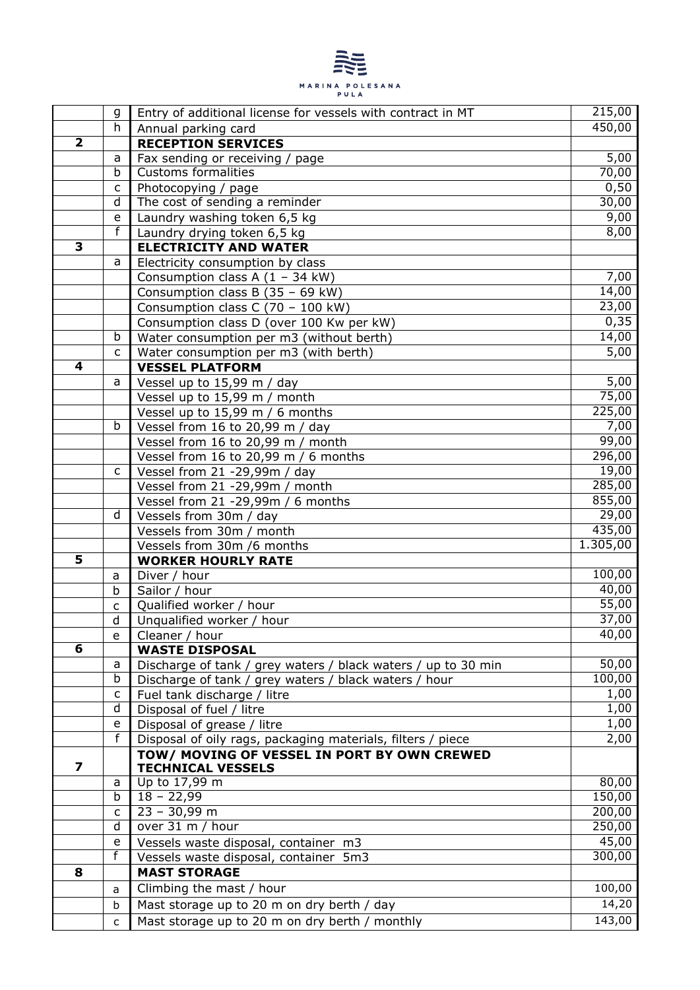

|                         | g              | Entry of additional license for vessels with contract in MT             | 215,00   |
|-------------------------|----------------|-------------------------------------------------------------------------|----------|
|                         | h              | Annual parking card                                                     | 450,00   |
| $\overline{\mathbf{2}}$ |                | <b>RECEPTION SERVICES</b>                                               |          |
|                         | a              | Fax sending or receiving / page                                         | 5,00     |
|                         | b              | <b>Customs formalities</b>                                              | 70,00    |
|                         | c              | Photocopying / page                                                     | 0,50     |
|                         | d              | The cost of sending a reminder                                          | 30,00    |
|                         | e              | Laundry washing token 6,5 kg                                            | 9,00     |
|                         | f              | Laundry drying token 6,5 kg                                             | 8,00     |
| 3                       |                | <b>ELECTRICITY AND WATER</b>                                            |          |
|                         | a              | Electricity consumption by class                                        |          |
|                         |                | Consumption class A $(1 - 34$ kW)                                       | 7,00     |
|                         |                | Consumption class B (35 - 69 kW)                                        | 14,00    |
|                         |                | Consumption class C (70 - 100 kW)                                       | 23,00    |
|                         |                | Consumption class D (over 100 Kw per kW)                                | 0,35     |
|                         | b              | Water consumption per m3 (without berth)                                | 14,00    |
|                         | C              | Water consumption per m3 (with berth)                                   | 5,00     |
| 4                       |                | <b>VESSEL PLATFORM</b>                                                  |          |
|                         | a              | Vessel up to 15,99 m / day                                              | 5,00     |
|                         |                | Vessel up to 15,99 m / month                                            | 75,00    |
|                         |                | Vessel up to 15,99 m / 6 months                                         | 225,00   |
|                         | b              | Vessel from 16 to 20,99 m / day                                         | 7,00     |
|                         |                | Vessel from 16 to 20,99 m / month                                       | 99,00    |
|                         |                | Vessel from 16 to 20,99 m / 6 months                                    | 296,00   |
|                         | C              | Vessel from 21 -29,99m / day                                            | 19,00    |
|                         |                | Vessel from 21 -29,99m / month                                          | 285,00   |
|                         |                | Vessel from 21 -29,99m / 6 months                                       | 855,00   |
|                         | d              | Vessels from 30m / day                                                  | 29,00    |
|                         |                | Vessels from 30m / month                                                | 435,00   |
|                         |                | Vessels from 30m /6 months                                              | 1.305,00 |
| $\overline{\mathbf{5}}$ |                | <b>WORKER HOURLY RATE</b>                                               |          |
|                         | a              | Diver / hour                                                            | 100,00   |
|                         | b              | Sailor / hour                                                           | 40,00    |
|                         | C              | Qualified worker / hour                                                 | 55,00    |
|                         | d              | Unqualified worker / hour                                               | 37,00    |
|                         | e              | Cleaner / hour                                                          | 40,00    |
| 6                       |                | <b>WASTE DISPOSAL</b>                                                   |          |
|                         | a              | Discharge of tank / grey waters / black waters / up to 30 min           | 50,00    |
|                         | b              | Discharge of tank / grey waters / black waters / hour                   | 100,00   |
|                         | C              | Fuel tank discharge / litre                                             | 1,00     |
|                         | d              | Disposal of fuel / litre                                                | 1,00     |
|                         | e<br>f         | Disposal of grease / litre                                              | 1,00     |
|                         |                | Disposal of oily rags, packaging materials, filters / piece             | 2,00     |
| 7                       |                | TOW/ MOVING OF VESSEL IN PORT BY OWN CREWED<br><b>TECHNICAL VESSELS</b> |          |
|                         | a              | Up to 17,99 m                                                           | 80,00    |
|                         | b              | $18 - 22,99$                                                            | 150,00   |
|                         | C              | $23 - 30,99$ m                                                          | 200,00   |
|                         | d              | over 31 m / hour                                                        | 250,00   |
|                         | e              | Vessels waste disposal, container m3                                    | 45,00    |
|                         | $\overline{f}$ | Vessels waste disposal, container 5m3                                   | 300,00   |
| 8                       |                | <b>MAST STORAGE</b>                                                     |          |
|                         | a              | Climbing the mast / hour                                                | 100,00   |
|                         |                | Mast storage up to 20 m on dry berth / day                              | 14,20    |
|                         | b              |                                                                         |          |
|                         | $\mathsf{C}$   | Mast storage up to 20 m on dry berth / monthly                          | 143,00   |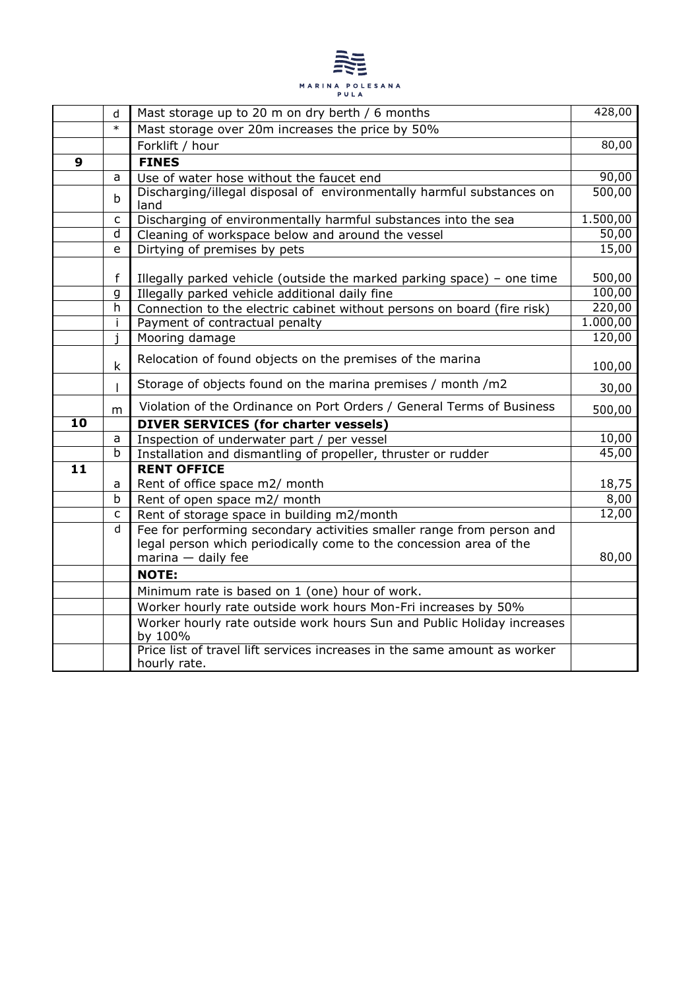

|    | d            | Mast storage up to 20 m on dry berth / 6 months                                                                          | 428,00           |  |
|----|--------------|--------------------------------------------------------------------------------------------------------------------------|------------------|--|
|    | $\ast$       | Mast storage over 20m increases the price by 50%                                                                         |                  |  |
|    |              | Forklift / hour                                                                                                          | 80,00            |  |
| 9  |              | <b>FINES</b>                                                                                                             |                  |  |
|    | a            | Use of water hose without the faucet end                                                                                 | 90,00            |  |
|    | $\mathsf b$  | Discharging/illegal disposal of environmentally harmful substances on<br>land                                            | 500,00           |  |
|    | C            | Discharging of environmentally harmful substances into the sea                                                           | 1.500,00         |  |
|    | d            | Cleaning of workspace below and around the vessel                                                                        | 50,00            |  |
|    | e            | Dirtying of premises by pets                                                                                             | 15,00            |  |
|    | f<br>g       | Illegally parked vehicle (outside the marked parking space) – one time<br>Illegally parked vehicle additional daily fine | 500,00<br>100,00 |  |
|    | h            | Connection to the electric cabinet without persons on board (fire risk)                                                  | 220,00           |  |
|    | İ.           | Payment of contractual penalty                                                                                           | 1.000,00         |  |
|    | i            | Mooring damage                                                                                                           | 120,00           |  |
|    | $\mathsf k$  | Relocation of found objects on the premises of the marina                                                                | 100,00           |  |
|    | $\mathsf{I}$ | Storage of objects found on the marina premises / month /m2                                                              | 30,00            |  |
|    | m            | Violation of the Ordinance on Port Orders / General Terms of Business                                                    | 500,00           |  |
| 10 |              | <b>DIVER SERVICES (for charter vessels)</b>                                                                              |                  |  |
|    | a            | Inspection of underwater part / per vessel                                                                               | 10,00            |  |
|    | b            | Installation and dismantling of propeller, thruster or rudder                                                            | 45,00            |  |
| 11 |              | <b>RENT OFFICE</b>                                                                                                       |                  |  |
|    | a            | Rent of office space m2/ month                                                                                           | 18,75            |  |
|    | b            | Rent of open space m2/ month                                                                                             | 8,00             |  |
|    | с            | Rent of storage space in building m2/month                                                                               | 12,00            |  |
|    | d            | Fee for performing secondary activities smaller range from person and                                                    |                  |  |
|    |              | legal person which periodically come to the concession area of the                                                       | 80,00            |  |
|    |              | $m$ arina $-$ daily fee<br><b>NOTE:</b>                                                                                  |                  |  |
|    |              |                                                                                                                          |                  |  |
|    |              | Minimum rate is based on 1 (one) hour of work.                                                                           |                  |  |
|    |              | Worker hourly rate outside work hours Mon-Fri increases by 50%                                                           |                  |  |
|    |              | Worker hourly rate outside work hours Sun and Public Holiday increases<br>by 100%                                        |                  |  |
|    |              | Price list of travel lift services increases in the same amount as worker<br>hourly rate.                                |                  |  |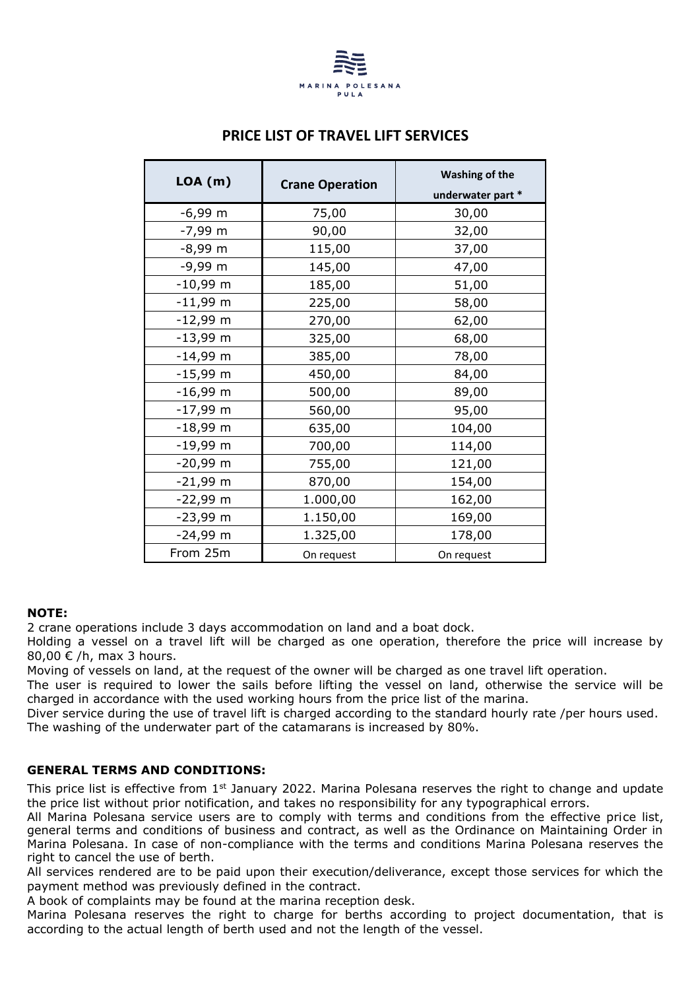

|  | <b>PRICE LIST OF TRAVEL LIFT SERVICES</b> |
|--|-------------------------------------------|
|--|-------------------------------------------|

| LOA(m)     | <b>Crane Operation</b> | <b>Washing of the</b><br>underwater part * |  |
|------------|------------------------|--------------------------------------------|--|
| $-6,99$ m  | 75,00                  | 30,00                                      |  |
| $-7,99$ m  | 90,00                  | 32,00                                      |  |
| $-8,99$ m  | 115,00                 | 37,00                                      |  |
| $-9,99$ m  | 145,00                 | 47,00                                      |  |
| $-10,99$ m | 185,00                 | 51,00                                      |  |
| $-11,99$ m | 225,00                 | 58,00                                      |  |
| $-12,99$ m | 270,00                 | 62,00                                      |  |
| $-13,99$ m | 325,00                 | 68,00                                      |  |
| $-14,99$ m | 385,00                 | 78,00                                      |  |
| $-15,99$ m | 450,00                 | 84,00                                      |  |
| $-16,99$ m | 500,00                 | 89,00                                      |  |
| $-17,99$ m | 560,00                 | 95,00                                      |  |
| $-18,99$ m | 635,00                 | 104,00                                     |  |
| $-19,99$ m | 700,00                 | 114,00                                     |  |
| $-20,99$ m | 755,00                 | 121,00                                     |  |
| $-21,99$ m | 870,00                 | 154,00                                     |  |
| $-22,99$ m | 1.000,00               | 162,00                                     |  |
| $-23,99$ m | 1.150,00               | 169,00                                     |  |
| $-24,99$ m | 1.325,00               | 178,00                                     |  |
| From 25m   | On request             | On request                                 |  |

# **NOTE:**

2 crane operations include 3 days accommodation on land and a boat dock.

Holding a vessel on a travel lift will be charged as one operation, therefore the price will increase by 80,00 € /h, max 3 hours.

Moving of vessels on land, at the request of the owner will be charged as one travel lift operation.

The user is required to lower the sails before lifting the vessel on land, otherwise the service will be charged in accordance with the used working hours from the price list of the marina.

Diver service during the use of travel lift is charged according to the standard hourly rate /per hours used. The washing of the underwater part of the catamarans is increased by 80%.

# **GENERAL TERMS AND CONDITIONS:**

This price list is effective from  $1<sup>st</sup>$  January 2022. Marina Polesana reserves the right to change and update the price list without prior notification, and takes no responsibility for any typographical errors.

All Marina Polesana service users are to comply with terms and conditions from the effective price list, general terms and conditions of business and contract, as well as the Ordinance on Maintaining Order in Marina Polesana. In case of non-compliance with the terms and conditions Marina Polesana reserves the right to cancel the use of berth.

All services rendered are to be paid upon their execution/deliverance, except those services for which the payment method was previously defined in the contract.

A book of complaints may be found at the marina reception desk.

Marina Polesana reserves the right to charge for berths according to project documentation, that is according to the actual length of berth used and not the length of the vessel.